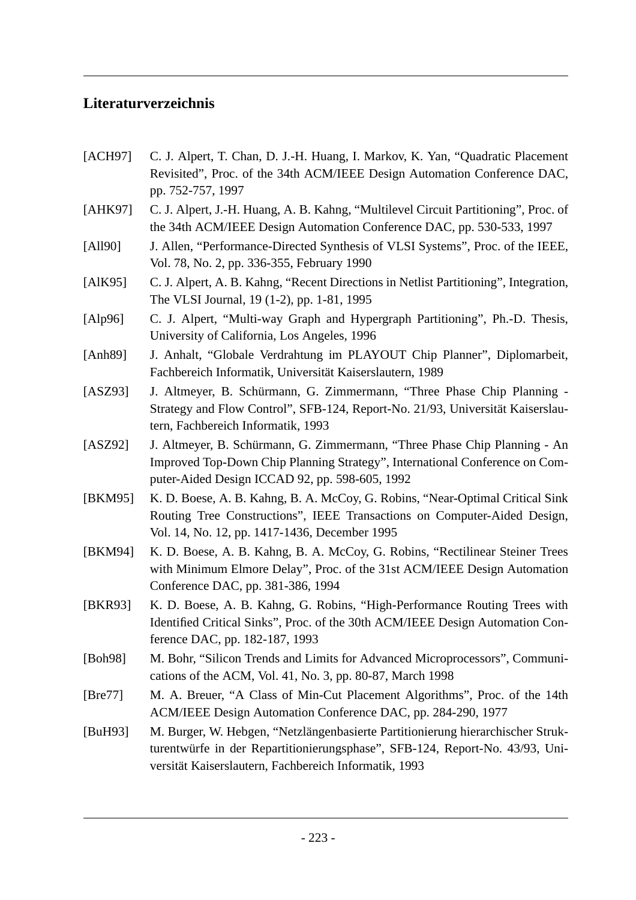## **Literaturverzeichnis**

- [ACH97] C. J. Alpert, T. Chan, D. J.-H. Huang, I. Markov, K. Yan, "Quadratic Placement" Revisited", Proc. of the 34th ACM/IEEE Design Automation Conference DAC, pp. 752-757, 1997
- [AHK97] C. J. Alpert, J.-H. Huang, A. B. Kahng, "Multilevel Circuit Partitioning", Proc. of the 34th ACM/IEEE Design Automation Conference DAC, pp. 530-533, 1997
- [All90] J. Allen, "Performance-Directed Synthesis of VLSI Systems", Proc. of the IEEE, Vol. 78, No. 2, pp. 336-355, February 1990
- [AlK95] C. J. Alpert, A. B. Kahng, "Recent Directions in Netlist Partitioning", Integration, The VLSI Journal, 19 (1-2), pp. 1-81, 1995
- [Alp96] C. J. Alpert, "Multi-way Graph and Hypergraph Partitioning", Ph.-D. Thesis, University of California, Los Angeles, 1996
- [Anh89] J. Anhalt, "Globale Verdrahtung im PLAYOUT Chip Planner", Diplomarbeit, Fachbereich Informatik, Universität Kaiserslautern, 1989
- [ASZ93] J. Altmeyer, B. Schürmann, G. Zimmermann, "Three Phase Chip Planning -Strategy and Flow Control", SFB-124, Report-No. 21/93, Universität Kaiserslautern, Fachbereich Informatik, 1993
- [ASZ92] J. Altmeyer, B. Schürmann, G. Zimmermann, "Three Phase Chip Planning An Improved Top-Down Chip Planning Strategy", International Conference on Computer-Aided Design ICCAD 92, pp. 598-605, 1992
- [BKM95] K. D. Boese, A. B. Kahng, B. A. McCoy, G. Robins, "Near-Optimal Critical Sink Routing Tree Constructions", IEEE Transactions on Computer-Aided Design, Vol. 14, No. 12, pp. 1417-1436, December 1995
- [BKM94] K. D. Boese, A. B. Kahng, B. A. McCoy, G. Robins, "Rectilinear Steiner Trees with Minimum Elmore Delay", Proc. of the 31st ACM/IEEE Design Automation Conference DAC, pp. 381-386, 1994
- [BKR93] K. D. Boese, A. B. Kahng, G. Robins, "High-Performance Routing Trees with Identified Critical Sinks", Proc. of the 30th ACM/IEEE Design Automation Conference DAC, pp. 182-187, 1993
- [Boh98] M. Bohr, "Silicon Trends and Limits for Advanced Microprocessors", Communications of the ACM, Vol. 41, No. 3, pp. 80-87, March 1998
- [Bre77] M. A. Breuer, "A Class of Min-Cut Placement Algorithms", Proc. of the 14th ACM/IEEE Design Automation Conference DAC, pp. 284-290, 1977
- [BuH93] M. Burger, W. Hebgen, "Netzlängenbasierte Partitionierung hierarchischer Strukturentwürfe in der Repartitionierungsphase", SFB-124, Report-No. 43/93, Universität Kaiserslautern, Fachbereich Informatik, 1993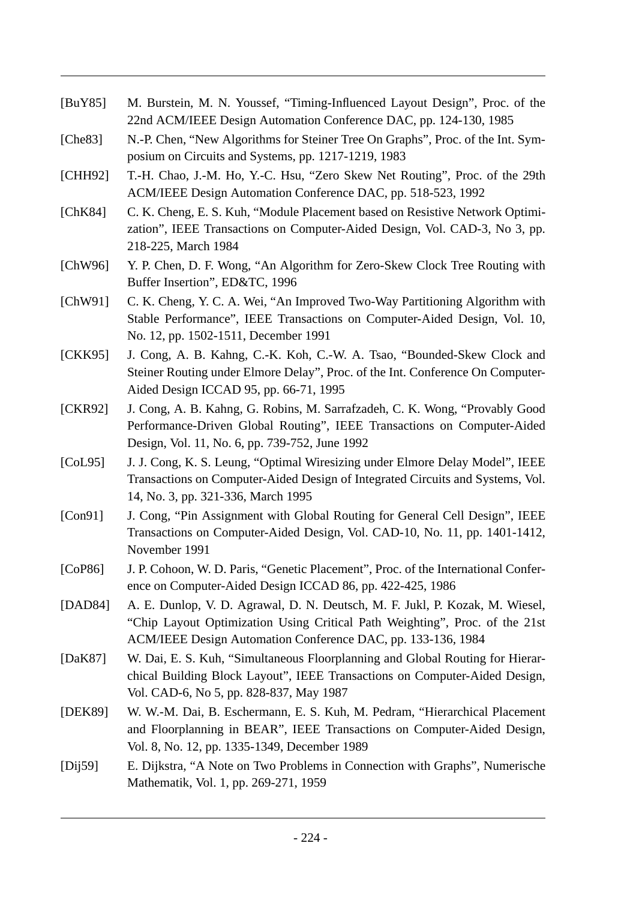- [BuY85] M. Burstein, M. N. Youssef, "Timing-Influenced Layout Design", Proc. of the 22nd ACM/IEEE Design Automation Conference DAC, pp. 124-130, 1985
- [Che83] N.-P. Chen, "New Algorithms for Steiner Tree On Graphs", Proc. of the Int. Symposium on Circuits and Systems, pp. 1217-1219, 1983
- [CHH92] T.-H. Chao, J.-M. Ho, Y.-C. Hsu, "Zero Skew Net Routing", Proc. of the 29th ACM/IEEE Design Automation Conference DAC, pp. 518-523, 1992
- [ChK84] C. K. Cheng, E. S. Kuh, "Module Placement based on Resistive Network Optimization", IEEE Transactions on Computer-Aided Design, Vol. CAD-3, No 3, pp. 218-225, March 1984
- [ChW96] Y. P. Chen, D. F. Wong, "An Algorithm for Zero-Skew Clock Tree Routing with Buffer Insertion", ED&TC, 1996
- [ChW91] C. K. Cheng, Y. C. A. Wei, "An Improved Two-Way Partitioning Algorithm with Stable Performance", IEEE Transactions on Computer-Aided Design, Vol. 10, No. 12, pp. 1502-1511, December 1991
- [CKK95] J. Cong, A. B. Kahng, C.-K. Koh, C.-W. A. Tsao, "Bounded-Skew Clock and Steiner Routing under Elmore Delay", Proc. of the Int. Conference On Computer-Aided Design ICCAD 95, pp. 66-71, 1995
- [CKR92] J. Cong, A. B. Kahng, G. Robins, M. Sarrafzadeh, C. K. Wong, "Provably Good Performance-Driven Global Routing", IEEE Transactions on Computer-Aided Design, Vol. 11, No. 6, pp. 739-752, June 1992
- [CoL95] J. J. Cong, K. S. Leung, "Optimal Wiresizing under Elmore Delay Model", IEEE Transactions on Computer-Aided Design of Integrated Circuits and Systems, Vol. 14, No. 3, pp. 321-336, March 1995
- [Con91] J. Cong, "Pin Assignment with Global Routing for General Cell Design", IEEE Transactions on Computer-Aided Design, Vol. CAD-10, No. 11, pp. 1401-1412, November 1991
- [CoP86] J. P. Cohoon, W. D. Paris, "Genetic Placement", Proc. of the International Conference on Computer-Aided Design ICCAD 86, pp. 422-425, 1986
- [DAD84] A. E. Dunlop, V. D. Agrawal, D. N. Deutsch, M. F. Jukl, P. Kozak, M. Wiesel, "Chip Layout Optimization Using Critical Path Weighting", Proc. of the 21st ACM/IEEE Design Automation Conference DAC, pp. 133-136, 1984
- [DaK87] W. Dai, E. S. Kuh, "Simultaneous Floorplanning and Global Routing for Hierarchical Building Block Layout", IEEE Transactions on Computer-Aided Design, Vol. CAD-6, No 5, pp. 828-837, May 1987
- [DEK89] W. W.-M. Dai, B. Eschermann, E. S. Kuh, M. Pedram, "Hierarchical Placement and Floorplanning in BEAR", IEEE Transactions on Computer-Aided Design, Vol. 8, No. 12, pp. 1335-1349, December 1989
- [Dij59] E. Dijkstra, "A Note on Two Problems in Connection with Graphs", Numerische Mathematik, Vol. 1, pp. 269-271, 1959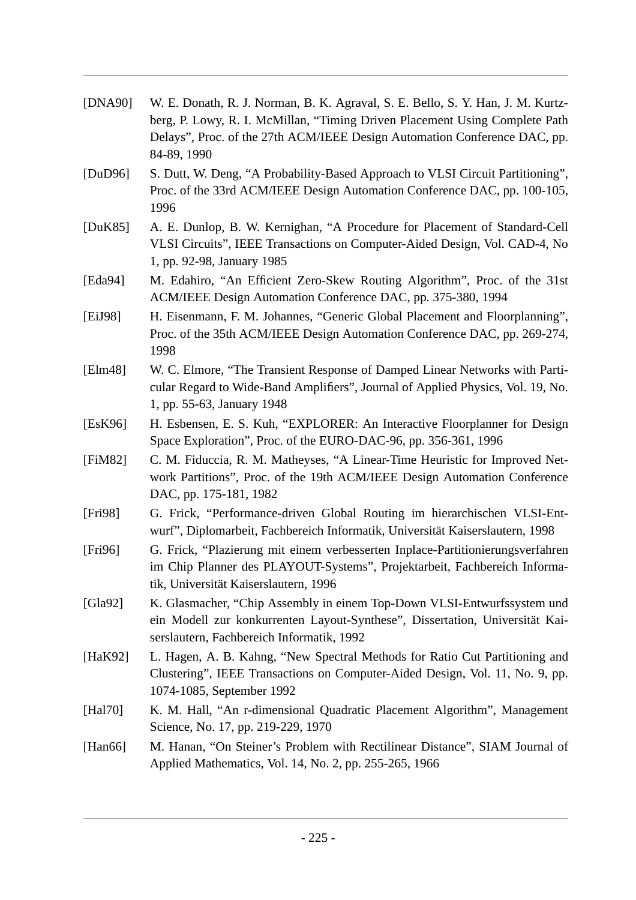| [DNA90]     | W. E. Donath, R. J. Norman, B. K. Agraval, S. E. Bello, S. Y. Han, J. M. Kurtz-<br>berg, P. Lowy, R. I. McMillan, "Timing Driven Placement Using Complete Path<br>Delays", Proc. of the 27th ACM/IEEE Design Automation Conference DAC, pp.<br>84-89, 1990 |
|-------------|------------------------------------------------------------------------------------------------------------------------------------------------------------------------------------------------------------------------------------------------------------|
| [DuD96]     | S. Dutt, W. Deng, "A Probability-Based Approach to VLSI Circuit Partitioning",<br>Proc. of the 33rd ACM/IEEE Design Automation Conference DAC, pp. 100-105,<br>1996                                                                                        |
| [ $DuK85$ ] | A. E. Dunlop, B. W. Kernighan, "A Procedure for Placement of Standard-Cell<br>VLSI Circuits", IEEE Transactions on Computer-Aided Design, Vol. CAD-4, No<br>1, pp. 92-98, January 1985                                                                     |
| [Eda94]     | M. Edahiro, "An Efficient Zero-Skew Routing Algorithm", Proc. of the 31st<br>ACM/IEEE Design Automation Conference DAC, pp. 375-380, 1994                                                                                                                  |
| [EiJ98]     | H. Eisenmann, F. M. Johannes, "Generic Global Placement and Floorplanning",<br>Proc. of the 35th ACM/IEEE Design Automation Conference DAC, pp. 269-274,<br>1998                                                                                           |
| [Elm48]     | W. C. Elmore, "The Transient Response of Damped Linear Networks with Parti-<br>cular Regard to Wide-Band Amplifiers", Journal of Applied Physics, Vol. 19, No.<br>1, pp. 55-63, January 1948                                                               |
| [EsK96]     | H. Esbensen, E. S. Kuh, "EXPLORER: An Interactive Floorplanner for Design<br>Space Exploration", Proc. of the EURO-DAC-96, pp. 356-361, 1996                                                                                                               |
| [FiM82]     | C. M. Fiduccia, R. M. Matheyses, "A Linear-Time Heuristic for Improved Net-<br>work Partitions", Proc. of the 19th ACM/IEEE Design Automation Conference<br>DAC, pp. 175-181, 1982                                                                         |
| [Fig 98]    | G. Frick, "Performance-driven Global Routing im hierarchischen VLSI-Ent-<br>wurf", Diplomarbeit, Fachbereich Informatik, Universität Kaiserslautern, 1998                                                                                                  |
| [Fig 96]    | G. Frick, "Plazierung mit einem verbesserten Inplace-Partitionierungsverfahren<br>im Chip Planner des PLAYOUT-Systems", Projektarbeit, Fachbereich Informa-<br>tik, Universität Kaiserslautern, 1996                                                       |
| [Gla92]     | K. Glasmacher, "Chip Assembly in einem Top-Down VLSI-Entwurfssystem und<br>ein Modell zur konkurrenten Layout-Synthese", Dissertation, Universität Kai-<br>serslautern, Fachbereich Informatik, 1992                                                       |
| [HaK92]     | L. Hagen, A. B. Kahng, "New Spectral Methods for Ratio Cut Partitioning and<br>Clustering", IEEE Transactions on Computer-Aided Design, Vol. 11, No. 9, pp.<br>1074-1085, September 1992                                                                   |
| [Hal70]     | K. M. Hall, "An r-dimensional Quadratic Placement Algorithm", Management<br>Science, No. 17, pp. 219-229, 1970                                                                                                                                             |
| [Han $66$ ] | M. Hanan, "On Steiner's Problem with Rectilinear Distance", SIAM Journal of<br>Applied Mathematics, Vol. 14, No. 2, pp. 255-265, 1966                                                                                                                      |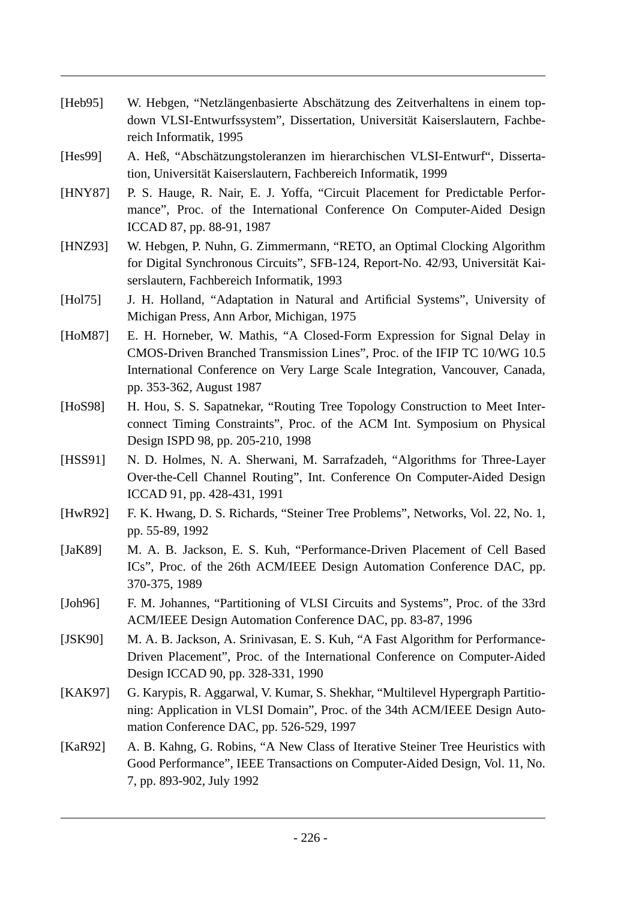- [Heb95] W. Hebgen, "Netzlängenbasierte Abschätzung des Zeitverhaltens in einem topdown VLSI-Entwurfssystem", Dissertation, Universität Kaiserslautern, Fachbereich Informatik, 1995
- [Hes99] A. Heß, "Abschätzungstoleranzen im hierarchischen VLSI-Entwurf", Dissertation, Universität Kaiserslautern, Fachbereich Informatik, 1999
- [HNY87] P. S. Hauge, R. Nair, E. J. Yoffa, "Circuit Placement for Predictable Performance", Proc. of the International Conference On Computer-Aided Design ICCAD 87, pp. 88-91, 1987
- [HNZ93] W. Hebgen, P. Nuhn, G. Zimmermann, "RETO, an Optimal Clocking Algorithm for Digital Synchronous Circuits", SFB-124, Report-No. 42/93, Universität Kaiserslautern, Fachbereich Informatik, 1993
- [Hol75] J. H. Holland, "Adaptation in Natural and Artificial Systems", University of Michigan Press, Ann Arbor, Michigan, 1975
- [HoM87] E. H. Horneber, W. Mathis, "A Closed-Form Expression for Signal Delay in CMOS-Driven Branched Transmission Lines", Proc. of the IFIP TC 10/WG 10.5 International Conference on Very Large Scale Integration, Vancouver, Canada, pp. 353-362, August 1987
- [HoS98] H. Hou, S. S. Sapatnekar, "Routing Tree Topology Construction to Meet Interconnect Timing Constraints", Proc. of the ACM Int. Symposium on Physical Design ISPD 98, pp. 205-210, 1998
- [HSS91] N. D. Holmes, N. A. Sherwani, M. Sarrafzadeh, "Algorithms for Three-Layer Over-the-Cell Channel Routing", Int. Conference On Computer-Aided Design ICCAD 91, pp. 428-431, 1991
- [HwR92] F. K. Hwang, D. S. Richards, "Steiner Tree Problems", Networks, Vol. 22, No. 1, pp. 55-89, 1992
- [JaK89] M. A. B. Jackson, E. S. Kuh, "Performance-Driven Placement of Cell Based ICs", Proc. of the 26th ACM/IEEE Design Automation Conference DAC, pp. 370-375, 1989
- [Joh96] F. M. Johannes, "Partitioning of VLSI Circuits and Systems", Proc. of the 33rd ACM/IEEE Design Automation Conference DAC, pp. 83-87, 1996
- [JSK90] M. A. B. Jackson, A. Srinivasan, E. S. Kuh, "A Fast Algorithm for Performance-Driven Placement", Proc. of the International Conference on Computer-Aided Design ICCAD 90, pp. 328-331, 1990
- [KAK97] G. Karypis, R. Aggarwal, V. Kumar, S. Shekhar, "Multilevel Hypergraph Partitioning: Application in VLSI Domain", Proc. of the 34th ACM/IEEE Design Automation Conference DAC, pp. 526-529, 1997
- [KaR92] A. B. Kahng, G. Robins, "A New Class of Iterative Steiner Tree Heuristics with Good Performance", IEEE Transactions on Computer-Aided Design, Vol. 11, No. 7, pp. 893-902, July 1992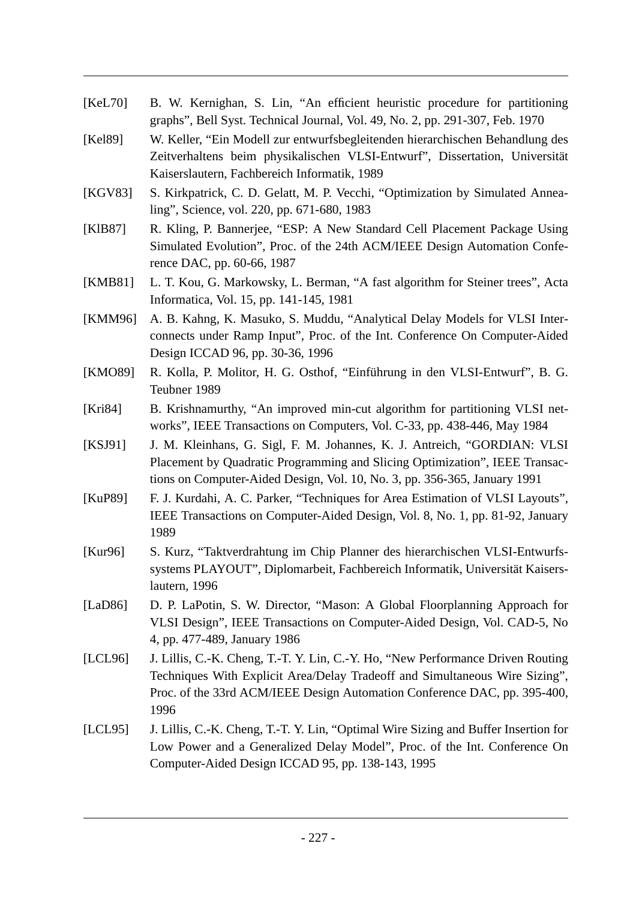[KeL70] B. W. Kernighan, S. Lin, "An efficient heuristic procedure for partitioning graphs", Bell Syst. Technical Journal, Vol. 49, No. 2, pp. 291-307, Feb. 1970 [Kel89] W. Keller, "Ein Modell zur entwurfsbegleitenden hierarchischen Behandlung des Zeitverhaltens beim physikalischen VLSI-Entwurf", Dissertation, Universität Kaiserslautern, Fachbereich Informatik, 1989 [KGV83] S. Kirkpatrick, C. D. Gelatt, M. P. Vecchi, "Optimization by Simulated Annealing", Science, vol. 220, pp. 671-680, 1983 [KlB87] R. Kling, P. Bannerjee, "ESP: A New Standard Cell Placement Package Using Simulated Evolution", Proc. of the 24th ACM/IEEE Design Automation Conference DAC, pp. 60-66, 1987 [KMB81] L. T. Kou, G. Markowsky, L. Berman, "A fast algorithm for Steiner trees", Acta Informatica, Vol. 15, pp. 141-145, 1981 [KMM96] A. B. Kahng, K. Masuko, S. Muddu, "Analytical Delay Models for VLSI Interconnects under Ramp Input", Proc. of the Int. Conference On Computer-Aided Design ICCAD 96, pp. 30-36, 1996 [KMO89] R. Kolla, P. Molitor, H. G. Osthof, "Einführung in den VLSI-Entwurf", B. G. Teubner 1989 [Kri84] B. Krishnamurthy, "An improved min-cut algorithm for partitioning VLSI networks", IEEE Transactions on Computers, Vol. C-33, pp. 438-446, May 1984 [KSJ91] J. M. Kleinhans, G. Sigl, F. M. Johannes, K. J. Antreich, "GORDIAN: VLSI Placement by Quadratic Programming and Slicing Optimization", IEEE Transactions on Computer-Aided Design, Vol. 10, No. 3, pp. 356-365, January 1991 [KuP89] F. J. Kurdahi, A. C. Parker, "Techniques for Area Estimation of VLSI Layouts", IEEE Transactions on Computer-Aided Design, Vol. 8, No. 1, pp. 81-92, January 1989 [Kur96] S. Kurz, "Taktverdrahtung im Chip Planner des hierarchischen VLSI-Entwurfssystems PLAYOUT", Diplomarbeit, Fachbereich Informatik, Universität Kaiserslautern, 1996 [LaD86] D. P. LaPotin, S. W. Director, "Mason: A Global Floorplanning Approach for VLSI Design", IEEE Transactions on Computer-Aided Design, Vol. CAD-5, No 4, pp. 477-489, January 1986 [LCL96] J. Lillis, C.-K. Cheng, T.-T. Y. Lin, C.-Y. Ho, "New Performance Driven Routing Techniques With Explicit Area/Delay Tradeoff and Simultaneous Wire Sizing", Proc. of the 33rd ACM/IEEE Design Automation Conference DAC, pp. 395-400, 1996 [LCL95] J. Lillis, C.-K. Cheng, T.-T. Y. Lin, "Optimal Wire Sizing and Buffer Insertion for Low Power and a Generalized Delay Model", Proc. of the Int. Conference On Computer-Aided Design ICCAD 95, pp. 138-143, 1995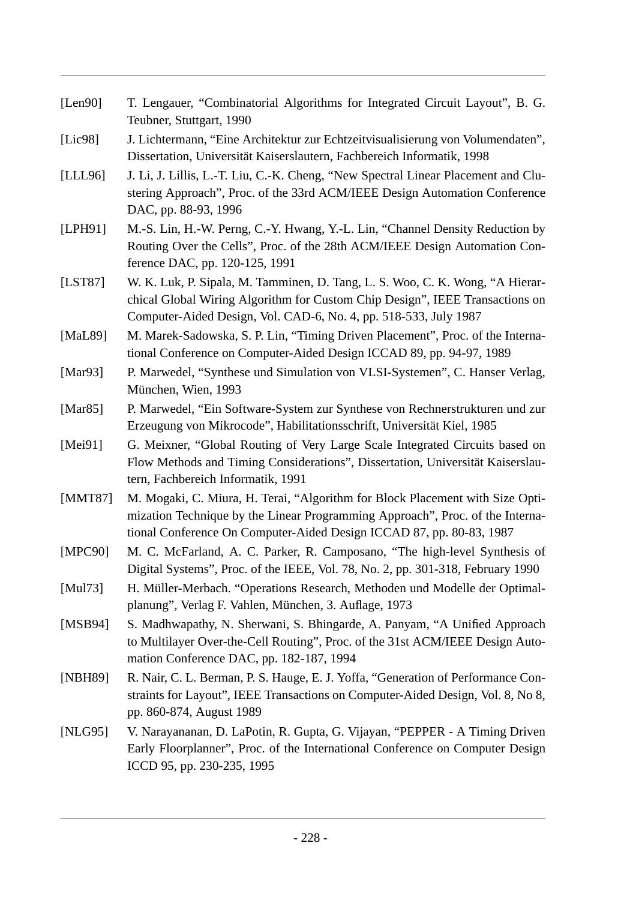| [Len90]     | T. Lengauer, "Combinatorial Algorithms for Integrated Circuit Layout", B. G.<br>Teubner, Stuttgart, 1990                                                                                                                               |
|-------------|----------------------------------------------------------------------------------------------------------------------------------------------------------------------------------------------------------------------------------------|
| [ $Lie98$ ] | J. Lichtermann, "Eine Architektur zur Echtzeitvisualisierung von Volumendaten",<br>Dissertation, Universität Kaiserslautern, Fachbereich Informatik, 1998                                                                              |
| [LLL96]     | J. Li, J. Lillis, L.-T. Liu, C.-K. Cheng, "New Spectral Linear Placement and Clu-<br>stering Approach", Proc. of the 33rd ACM/IEEE Design Automation Conference<br>DAC, pp. 88-93, 1996                                                |
| [LPH91]     | M.-S. Lin, H.-W. Perng, C.-Y. Hwang, Y.-L. Lin, "Channel Density Reduction by<br>Routing Over the Cells", Proc. of the 28th ACM/IEEE Design Automation Con-<br>ference DAC, pp. 120-125, 1991                                          |
| [LIST87]    | W. K. Luk, P. Sipala, M. Tamminen, D. Tang, L. S. Woo, C. K. Wong, "A Hierar-<br>chical Global Wiring Algorithm for Custom Chip Design", IEEE Transactions on<br>Computer-Aided Design, Vol. CAD-6, No. 4, pp. 518-533, July 1987      |
| [MaL89]     | M. Marek-Sadowska, S. P. Lin, "Timing Driven Placement", Proc. of the Interna-<br>tional Conference on Computer-Aided Design ICCAD 89, pp. 94-97, 1989                                                                                 |
| [Mar93]     | P. Marwedel, "Synthese und Simulation von VLSI-Systemen", C. Hanser Verlag,<br>München, Wien, 1993                                                                                                                                     |
| [ $Mar85$ ] | P. Marwedel, "Ein Software-System zur Synthese von Rechnerstrukturen und zur<br>Erzeugung von Mikrocode", Habilitationsschrift, Universität Kiel, 1985                                                                                 |
| [Mei $91$ ] | G. Meixner, "Global Routing of Very Large Scale Integrated Circuits based on<br>Flow Methods and Timing Considerations", Dissertation, Universität Kaiserslau-<br>tern, Fachbereich Informatik, 1991                                   |
| [MMT87]     | M. Mogaki, C. Miura, H. Terai, "Algorithm for Block Placement with Size Opti-<br>mization Technique by the Linear Programming Approach", Proc. of the Interna-<br>tional Conference On Computer-Aided Design ICCAD 87, pp. 80-83, 1987 |
| [MPC90]     | M. C. McFarland, A. C. Parker, R. Camposano, "The high-level Synthesis of<br>Digital Systems", Proc. of the IEEE, Vol. 78, No. 2, pp. 301-318, February 1990                                                                           |
| [Mul73]     | H. Müller-Merbach. "Operations Research, Methoden und Modelle der Optimal-<br>planung", Verlag F. Vahlen, München, 3. Auflage, 1973                                                                                                    |
| [ $MSB94$ ] | S. Madhwapathy, N. Sherwani, S. Bhingarde, A. Panyam, "A Unified Approach<br>to Multilayer Over-the-Cell Routing", Proc. of the 31st ACM/IEEE Design Auto-<br>mation Conference DAC, pp. 182-187, 1994                                 |
| [NBH89]     | R. Nair, C. L. Berman, P. S. Hauge, E. J. Yoffa, "Generation of Performance Con-<br>straints for Layout", IEEE Transactions on Computer-Aided Design, Vol. 8, No 8,<br>pp. 860-874, August 1989                                        |
| [NLG95]     | V. Narayananan, D. LaPotin, R. Gupta, G. Vijayan, "PEPPER - A Timing Driven<br>Early Floorplanner", Proc. of the International Conference on Computer Design<br>ICCD 95, pp. 230-235, 1995                                             |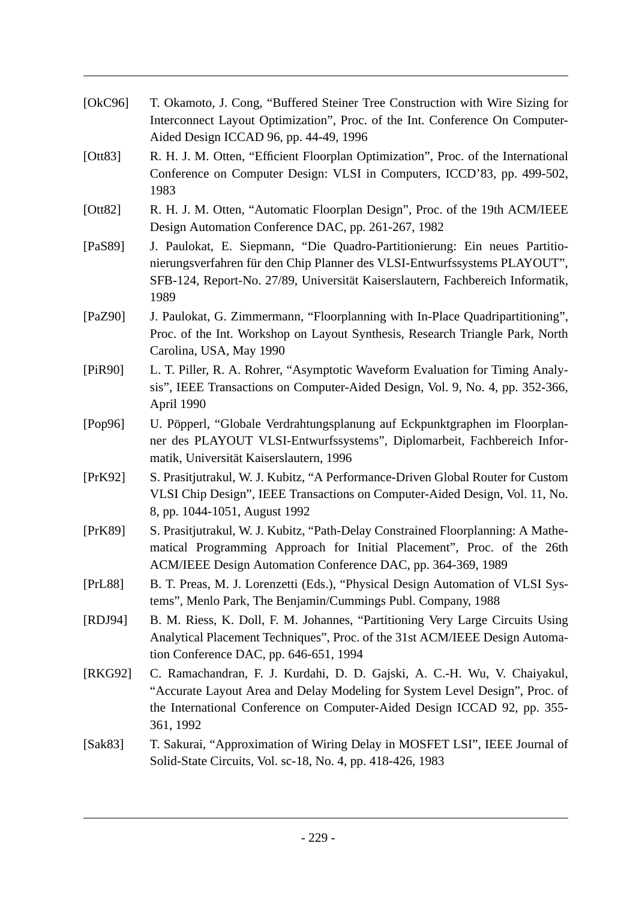| [OkC96]     | T. Okamoto, J. Cong, "Buffered Steiner Tree Construction with Wire Sizing for<br>Interconnect Layout Optimization", Proc. of the Int. Conference On Computer-<br>Aided Design ICCAD 96, pp. 44-49, 1996                                           |
|-------------|---------------------------------------------------------------------------------------------------------------------------------------------------------------------------------------------------------------------------------------------------|
| [Ott83]     | R. H. J. M. Otten, "Efficient Floorplan Optimization", Proc. of the International<br>Conference on Computer Design: VLSI in Computers, ICCD'83, pp. 499-502,<br>1983                                                                              |
| [Ott82]     | R. H. J. M. Otten, "Automatic Floorplan Design", Proc. of the 19th ACM/IEEE<br>Design Automation Conference DAC, pp. 261-267, 1982                                                                                                                |
| [PaS89]     | J. Paulokat, E. Siepmann, "Die Quadro-Partitionierung: Ein neues Partitio-<br>nierungsverfahren für den Chip Planner des VLSI-Entwurfssystems PLAYOUT",<br>SFB-124, Report-No. 27/89, Universität Kaiserslautern, Fachbereich Informatik,<br>1989 |
| [ $PaZ90$ ] | J. Paulokat, G. Zimmermann, "Floorplanning with In-Place Quadripartitioning",<br>Proc. of the Int. Workshop on Layout Synthesis, Research Triangle Park, North<br>Carolina, USA, May 1990                                                         |
| [PiR90]     | L. T. Piller, R. A. Rohrer, "Asymptotic Waveform Evaluation for Timing Analy-<br>sis", IEEE Transactions on Computer-Aided Design, Vol. 9, No. 4, pp. 352-366,<br>April 1990                                                                      |
| [Pop96]     | U. Pöpperl, "Globale Verdrahtungsplanung auf Eckpunktgraphen im Floorplan-<br>ner des PLAYOUT VLSI-Entwurfssystems", Diplomarbeit, Fachbereich Infor-<br>matik, Universität Kaiserslautern, 1996                                                  |
| [PrK92]     | S. Prasitjutrakul, W. J. Kubitz, "A Performance-Driven Global Router for Custom<br>VLSI Chip Design", IEEE Transactions on Computer-Aided Design, Vol. 11, No.<br>8, pp. 1044-1051, August 1992                                                   |
| [PrK89]     | S. Prasitjutrakul, W. J. Kubitz, "Path-Delay Constrained Floorplanning: A Mathe-<br>matical Programming Approach for Initial Placement", Proc. of the 26th<br>ACM/IEEE Design Automation Conference DAC, pp. 364-369, 1989                        |
| [PrL88]     | B. T. Preas, M. J. Lorenzetti (Eds.), "Physical Design Automation of VLSI Sys-<br>tems", Menlo Park, The Benjamin/Cummings Publ. Company, 1988                                                                                                    |
| [RDJ94]     | B. M. Riess, K. Doll, F. M. Johannes, "Partitioning Very Large Circuits Using<br>Analytical Placement Techniques", Proc. of the 31st ACM/IEEE Design Automa-<br>tion Conference DAC, pp. 646-651, 1994                                            |
| [RKG92]     | C. Ramachandran, F. J. Kurdahi, D. D. Gajski, A. C.-H. Wu, V. Chaiyakul,<br>"Accurate Layout Area and Delay Modeling for System Level Design", Proc. of<br>the International Conference on Computer-Aided Design ICCAD 92, pp. 355-<br>361, 1992  |
| [Sak83]     | T. Sakurai, "Approximation of Wiring Delay in MOSFET LSI", IEEE Journal of<br>Solid-State Circuits, Vol. sc-18, No. 4, pp. 418-426, 1983                                                                                                          |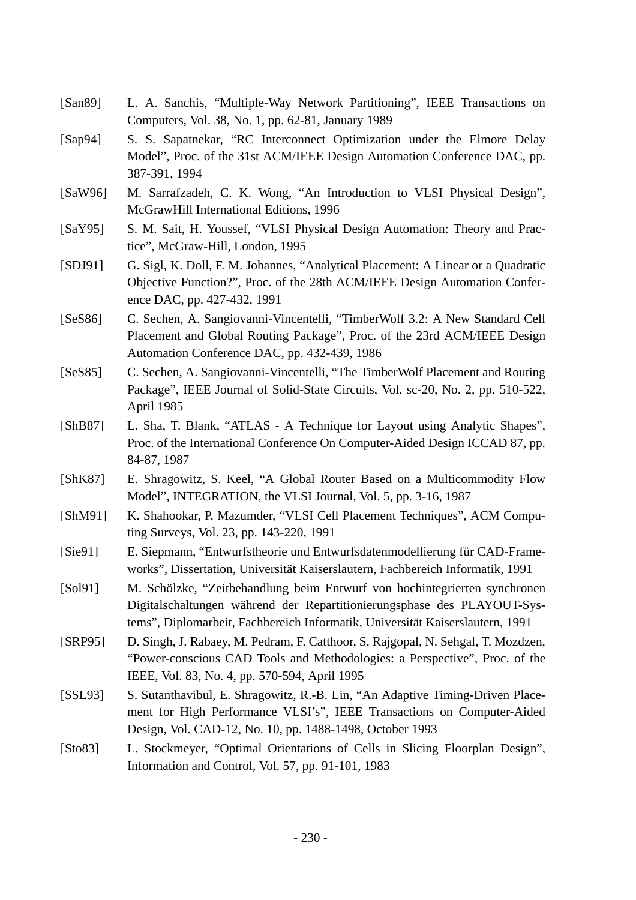| [ $San89$ ] | L. A. Sanchis, "Multiple-Way Network Partitioning", IEEE Transactions on<br>Computers, Vol. 38, No. 1, pp. 62-81, January 1989                                                                                                        |
|-------------|---------------------------------------------------------------------------------------------------------------------------------------------------------------------------------------------------------------------------------------|
| [Sap $94$ ] | S. S. Sapatnekar, "RC Interconnect Optimization under the Elmore Delay<br>Model", Proc. of the 31st ACM/IEEE Design Automation Conference DAC, pp.<br>387-391, 1994                                                                   |
| [SaW96]     | M. Sarrafzadeh, C. K. Wong, "An Introduction to VLSI Physical Design",<br>McGrawHill International Editions, 1996                                                                                                                     |
| [SaY95]     | S. M. Sait, H. Youssef, "VLSI Physical Design Automation: Theory and Prac-<br>tice", McGraw-Hill, London, 1995                                                                                                                        |
| [SDJ91]     | G. Sigl, K. Doll, F. M. Johannes, "Analytical Placement: A Linear or a Quadratic<br>Objective Function?", Proc. of the 28th ACM/IEEE Design Automation Confer-<br>ence DAC, pp. 427-432, 1991                                         |
| [SeS86]     | C. Sechen, A. Sangiovanni-Vincentelli, "TimberWolf 3.2: A New Standard Cell<br>Placement and Global Routing Package", Proc. of the 23rd ACM/IEEE Design<br>Automation Conference DAC, pp. 432-439, 1986                               |
| [SeS85]     | C. Sechen, A. Sangiovanni-Vincentelli, "The TimberWolf Placement and Routing<br>Package", IEEE Journal of Solid-State Circuits, Vol. sc-20, No. 2, pp. 510-522,<br>April 1985                                                         |
| [ShB87]     | L. Sha, T. Blank, "ATLAS - A Technique for Layout using Analytic Shapes",<br>Proc. of the International Conference On Computer-Aided Design ICCAD 87, pp.<br>84-87, 1987                                                              |
| [ShK87]     | E. Shragowitz, S. Keel, "A Global Router Based on a Multicommodity Flow<br>Model", INTEGRATION, the VLSI Journal, Vol. 5, pp. 3-16, 1987                                                                                              |
| [ShM91]     | K. Shahookar, P. Mazumder, "VLSI Cell Placement Techniques", ACM Compu-<br>ting Surveys, Vol. 23, pp. 143-220, 1991                                                                                                                   |
| [Sie91]     | E. Siepmann, "Entwurfstheorie und Entwurfsdatenmodellierung für CAD-Frame-<br>works", Dissertation, Universität Kaiserslautern, Fachbereich Informatik, 1991                                                                          |
| [Sol91]     | M. Schölzke, "Zeitbehandlung beim Entwurf von hochintegrierten synchronen<br>Digitalschaltungen während der Repartitionierungsphase des PLAYOUT-Sys-<br>tems", Diplomarbeit, Fachbereich Informatik, Universität Kaiserslautern, 1991 |
| [SRP95]     | D. Singh, J. Rabaey, M. Pedram, F. Catthoor, S. Rajgopal, N. Sehgal, T. Mozdzen,<br>"Power-conscious CAD Tools and Methodologies: a Perspective", Proc. of the<br>IEEE, Vol. 83, No. 4, pp. 570-594, April 1995                       |
| [SSL93]     | S. Sutanthavibul, E. Shragowitz, R.-B. Lin, "An Adaptive Timing-Driven Place-<br>ment for High Performance VLSI's", IEEE Transactions on Computer-Aided<br>Design, Vol. CAD-12, No. 10, pp. 1488-1498, October 1993                   |
| [Sto83]     | L. Stockmeyer, "Optimal Orientations of Cells in Slicing Floorplan Design",<br>Information and Control, Vol. 57, pp. 91-101, 1983                                                                                                     |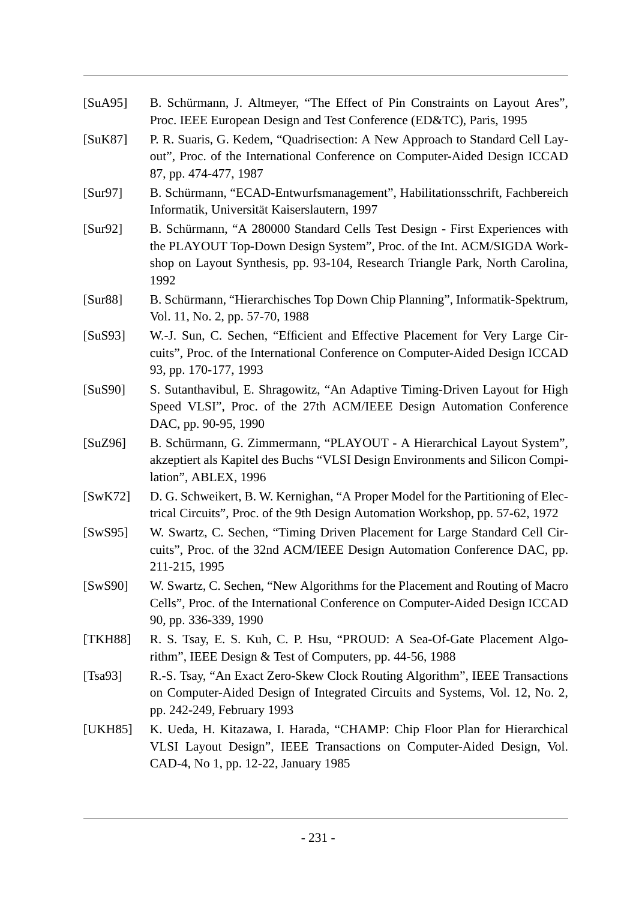| [SuA95] | B. Schürmann, J. Altmeyer, "The Effect of Pin Constraints on Layout Ares",<br>Proc. IEEE European Design and Test Conference (ED&TC), Paris, 1995                                                                                              |
|---------|------------------------------------------------------------------------------------------------------------------------------------------------------------------------------------------------------------------------------------------------|
| [SuK87] | P. R. Suaris, G. Kedem, "Quadrisection: A New Approach to Standard Cell Lay-<br>out", Proc. of the International Conference on Computer-Aided Design ICCAD<br>87, pp. 474-477, 1987                                                            |
| [Sur97] | B. Schürmann, "ECAD-Entwurfsmanagement", Habilitationsschrift, Fachbereich<br>Informatik, Universität Kaiserslautern, 1997                                                                                                                     |
| [Sur92] | B. Schürmann, "A 280000 Standard Cells Test Design - First Experiences with<br>the PLAYOUT Top-Down Design System", Proc. of the Int. ACM/SIGDA Work-<br>shop on Layout Synthesis, pp. 93-104, Research Triangle Park, North Carolina,<br>1992 |
| [Sur88] | B. Schürmann, "Hierarchisches Top Down Chip Planning", Informatik-Spektrum,<br>Vol. 11, No. 2, pp. 57-70, 1988                                                                                                                                 |
| [SuS93] | W.-J. Sun, C. Sechen, "Efficient and Effective Placement for Very Large Cir-<br>cuits", Proc. of the International Conference on Computer-Aided Design ICCAD<br>93, pp. 170-177, 1993                                                          |
| [SuS90] | S. Sutanthavibul, E. Shragowitz, "An Adaptive Timing-Driven Layout for High<br>Speed VLSI", Proc. of the 27th ACM/IEEE Design Automation Conference<br>DAC, pp. 90-95, 1990                                                                    |
| [SuZ96] | B. Schürmann, G. Zimmermann, "PLAYOUT - A Hierarchical Layout System",<br>akzeptiert als Kapitel des Buchs "VLSI Design Environments and Silicon Compi-<br>lation", ABLEX, 1996                                                                |
| [SwK72] | D. G. Schweikert, B. W. Kernighan, "A Proper Model for the Partitioning of Elec-<br>trical Circuits", Proc. of the 9th Design Automation Workshop, pp. 57-62, 1972                                                                             |
| [SwS95] | W. Swartz, C. Sechen, "Timing Driven Placement for Large Standard Cell Cir-<br>cuits", Proc. of the 32nd ACM/IEEE Design Automation Conference DAC, pp.<br>211-215, 1995                                                                       |
| [SwS90] | W. Swartz, C. Sechen, "New Algorithms for the Placement and Routing of Macro<br>Cells", Proc. of the International Conference on Computer-Aided Design ICCAD<br>90, pp. 336-339, 1990                                                          |
| [TKH88] | R. S. Tsay, E. S. Kuh, C. P. Hsu, "PROUD: A Sea-Of-Gate Placement Algo-<br>rithm", IEEE Design $&$ Test of Computers, pp. 44-56, 1988                                                                                                          |
| [Tsa93] | R.-S. Tsay, "An Exact Zero-Skew Clock Routing Algorithm", IEEE Transactions<br>on Computer-Aided Design of Integrated Circuits and Systems, Vol. 12, No. 2,<br>pp. 242-249, February 1993                                                      |
| [UKH85] | K. Ueda, H. Kitazawa, I. Harada, "CHAMP: Chip Floor Plan for Hierarchical<br>VLSI Layout Design", IEEE Transactions on Computer-Aided Design, Vol.<br>CAD-4, No 1, pp. 12-22, January 1985                                                     |
|         |                                                                                                                                                                                                                                                |